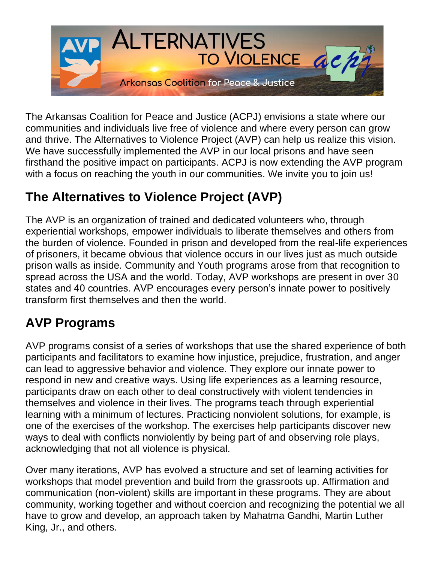

The Arkansas Coalition for Peace and Justice (ACPJ) envisions a state where our communities and individuals live free of violence and where every person can grow and thrive. The Alternatives to Violence Project (AVP) can help us realize this vision. We have successfully implemented the AVP in our local prisons and have seen firsthand the positive impact on participants. ACPJ is now extending the AVP program with a focus on reaching the youth in our communities. We invite you to join us!

# **The Alternatives to Violence Project (AVP)**

The AVP is an organization of trained and dedicated volunteers who, through experiential workshops, empower individuals to liberate themselves and others from the burden of violence. Founded in prison and developed from the real-life experiences of prisoners, it became obvious that violence occurs in our lives just as much outside prison walls as inside. Community and Youth programs arose from that recognition to spread across the USA and the world. Today, AVP workshops are present in over 30 states and 40 countries. AVP encourages every person's innate power to positively transform first themselves and then the world.

# **AVP Programs**

AVP programs consist of a series of workshops that use the shared experience of both participants and facilitators to examine how injustice, prejudice, frustration, and anger can lead to aggressive behavior and violence. They explore our innate power to respond in new and creative ways. Using life experiences as a learning resource, participants draw on each other to deal constructively with violent tendencies in themselves and violence in their lives. The programs teach through experiential learning with a minimum of lectures. Practicing nonviolent solutions, for example, is one of the exercises of the workshop. The exercises help participants discover new ways to deal with conflicts nonviolently by being part of and observing role plays, acknowledging that not all violence is physical.

Over many iterations, AVP has evolved a structure and set of learning activities for workshops that model prevention and build from the grassroots up. Affirmation and communication (non-violent) skills are important in these programs. They are about community, working together and without coercion and recognizing the potential we all have to grow and develop, an approach taken by Mahatma Gandhi, Martin Luther King, Jr., and others.